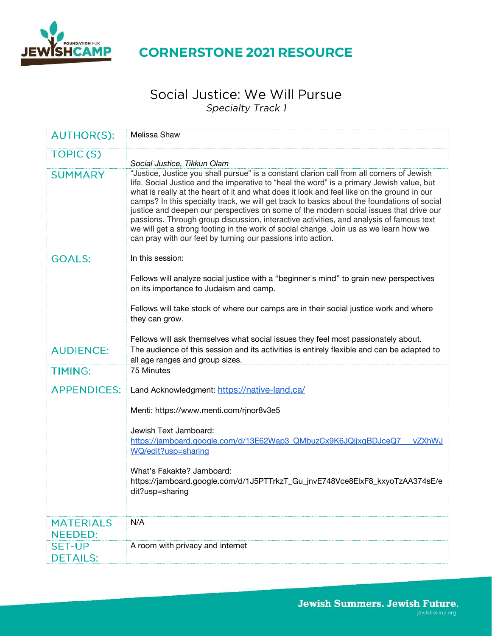

### **CORNERSTONE 2021 RESOURCE**

### Social Justice: We Will Pursue **Specialty Track 1**

| <b>AUTHOR(S):</b>  | Melissa Shaw                                                                                                                                                                                                                                                                                                                                                                                                                                                                                                                                                                                                                                                                                                                    |
|--------------------|---------------------------------------------------------------------------------------------------------------------------------------------------------------------------------------------------------------------------------------------------------------------------------------------------------------------------------------------------------------------------------------------------------------------------------------------------------------------------------------------------------------------------------------------------------------------------------------------------------------------------------------------------------------------------------------------------------------------------------|
| <b>TOPIC(S)</b>    | Social Justice, Tikkun Olam                                                                                                                                                                                                                                                                                                                                                                                                                                                                                                                                                                                                                                                                                                     |
| <b>SUMMARY</b>     | "Justice, Justice you shall pursue" is a constant clarion call from all corners of Jewish<br>life. Social Justice and the imperative to "heal the word" is a primary Jewish value, but<br>what is really at the heart of it and what does it look and feel like on the ground in our<br>camps? In this specialty track, we will get back to basics about the foundations of social<br>justice and deepen our perspectives on some of the modern social issues that drive our<br>passions. Through group discussion, interactive activities, and analysis of famous text<br>we will get a strong footing in the work of social change. Join us as we learn how we<br>can pray with our feet by turning our passions into action. |
| <b>GOALS:</b>      | In this session:                                                                                                                                                                                                                                                                                                                                                                                                                                                                                                                                                                                                                                                                                                                |
|                    | Fellows will analyze social justice with a "beginner's mind" to grain new perspectives<br>on its importance to Judaism and camp.                                                                                                                                                                                                                                                                                                                                                                                                                                                                                                                                                                                                |
|                    | Fellows will take stock of where our camps are in their social justice work and where<br>they can grow.                                                                                                                                                                                                                                                                                                                                                                                                                                                                                                                                                                                                                         |
|                    | Fellows will ask themselves what social issues they feel most passionately about.                                                                                                                                                                                                                                                                                                                                                                                                                                                                                                                                                                                                                                               |
| <b>AUDIENCE:</b>   | The audience of this session and its activities is entirely flexible and can be adapted to<br>all age ranges and group sizes.                                                                                                                                                                                                                                                                                                                                                                                                                                                                                                                                                                                                   |
| <b>TIMING:</b>     | 75 Minutes                                                                                                                                                                                                                                                                                                                                                                                                                                                                                                                                                                                                                                                                                                                      |
| <b>APPENDICES:</b> | Land Acknowledgment: https://native-land.ca/                                                                                                                                                                                                                                                                                                                                                                                                                                                                                                                                                                                                                                                                                    |
|                    | Menti: https://www.menti.com/rjnor8v3e5                                                                                                                                                                                                                                                                                                                                                                                                                                                                                                                                                                                                                                                                                         |
|                    | Jewish Text Jamboard:<br>https://jamboard.google.com/d/13E62Wap3_QMbuzCx9K6JQjjxqBDJceQ7<br>vZXhWJ                                                                                                                                                                                                                                                                                                                                                                                                                                                                                                                                                                                                                              |
|                    | WQ/edit?usp=sharing                                                                                                                                                                                                                                                                                                                                                                                                                                                                                                                                                                                                                                                                                                             |
|                    | What's Fakakte? Jamboard:<br>https://jamboard.google.com/d/1J5PTTrkzT_Gu_jnvE748Vce8ElxF8_kxyoTzAA374sE/e<br>dit?usp=sharing                                                                                                                                                                                                                                                                                                                                                                                                                                                                                                                                                                                                    |
| <b>MATERIALS</b>   | N/A                                                                                                                                                                                                                                                                                                                                                                                                                                                                                                                                                                                                                                                                                                                             |
| <b>NEEDED:</b>     |                                                                                                                                                                                                                                                                                                                                                                                                                                                                                                                                                                                                                                                                                                                                 |
| <b>SET-UP</b>      | A room with privacy and internet                                                                                                                                                                                                                                                                                                                                                                                                                                                                                                                                                                                                                                                                                                |
| <b>DETAILS:</b>    |                                                                                                                                                                                                                                                                                                                                                                                                                                                                                                                                                                                                                                                                                                                                 |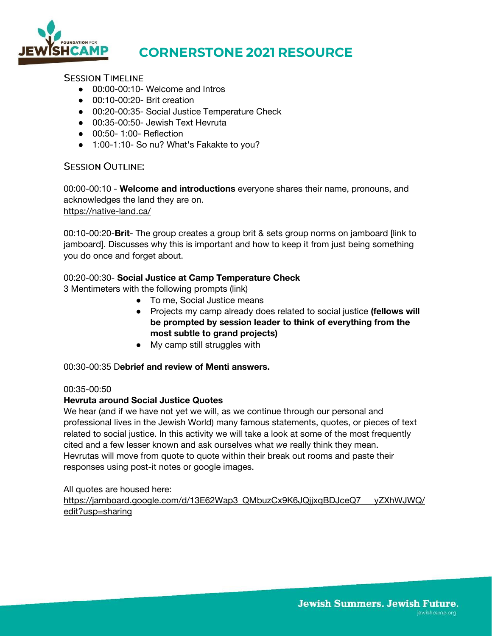

# **CORNERSTONE 2021 RESOURCE**

**SESSION TIMELINE** 

- 00:00-00:10- Welcome and Intros
- 00:10-00:20 Brit creation
- 00:20-00:35- Social Justice Temperature Check
- 00:35-00:50- Jewish Text Hevruta
- 00:50-1:00- Reflection
- 1:00-1:10- So nu? What's Fakakte to you?

#### **SESSION OUTLINE:**

00:00-00:10 - **Welcome and introductions** everyone shares their name, pronouns, and acknowledges the land they are on. <https://native-land.ca/>

00:10-00:20-**Brit**- The group creates a group brit & sets group norms on jamboard [link to jamboard]. Discusses why this is important and how to keep it from just being something you do once and forget about.

#### 00:20-00:30- **Social Justice at Camp Temperature Check**

3 Mentimeters with the following prompts (link)

- To me, Social Justice means
- Projects my camp already does related to social justice **(fellows will be prompted by session leader to think of everything from the most subtle to grand projects)**
- My camp still struggles with

#### 00:30-00:35 D**ebrief and review of Menti answers.**

#### 00:35-00:50

#### **Hevruta around Social Justice Quotes**

We hear (and if we have not yet we will, as we continue through our personal and professional lives in the Jewish World) many famous statements, quotes, or pieces of text related to social justice. In this activity we will take a look at some of the most frequently cited and a few lesser known and ask ourselves what *we* really think they mean. Hevrutas will move from quote to quote within their break out rooms and paste their responses using post-it notes or google images.

All quotes are housed here: [https://jamboard.google.com/d/13E62Wap3\\_QMbuzCx9K6JQjjxqBDJceQ7\\_\\_\\_yZXhWJWQ/](https://jamboard.google.com/d/13E62Wap3_QMbuzCx9K6JQjjxqBDJceQ7___yZXhWJWQ/edit?usp=sharing) [edit?usp=sharing](https://jamboard.google.com/d/13E62Wap3_QMbuzCx9K6JQjjxqBDJceQ7___yZXhWJWQ/edit?usp=sharing)